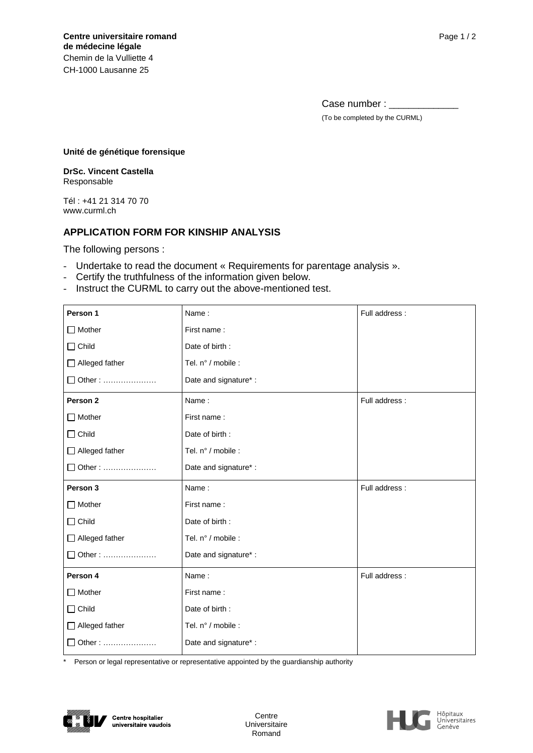Case number : \_\_\_\_\_ (To be completed by the CURML)

#### **Unité de génétique forensique**

**DrSc. Vincent Castella** Responsable

Tél : +41 21 314 70 70 www.curml.ch

# **APPLICATION FORM FOR KINSHIP ANALYSIS**

The following persons :

- Undertake to read the document « Requirements for parentage analysis ».
- Certify the truthfulness of the information given below.
- Instruct the CURML to carry out the above-mentioned test.

| Person 1              | Name:                 | Full address:  |
|-----------------------|-----------------------|----------------|
| $\Box$ Mother         | First name:           |                |
| $\Box$ Child          | Date of birth:        |                |
| $\Box$ Alleged father | Tel. n° / mobile :    |                |
| □ Other:              | Date and signature*:  |                |
| Person <sub>2</sub>   | Name:                 | Full address:  |
| $\Box$ Mother         | First name:           |                |
| $\Box$ Child          | Date of birth:        |                |
| $\Box$ Alleged father | Tel. n° / mobile :    |                |
| □ Other :             | Date and signature* : |                |
|                       |                       |                |
| Person 3              | Name:                 | Full address:  |
| $\Box$ Mother         | First name:           |                |
| $\Box$ Child          | Date of birth:        |                |
| $\Box$ Alleged father | Tel. n° / mobile :    |                |
| □ Other:              | Date and signature*:  |                |
| Person 4              | Name:                 | Full address : |
| $\Box$ Mother         | First name:           |                |
| $\Box$ Child          | Date of birth:        |                |
| $\Box$ Alleged father | Tel. n° / mobile :    |                |

Person or legal representative or representative appointed by the guardianship authority



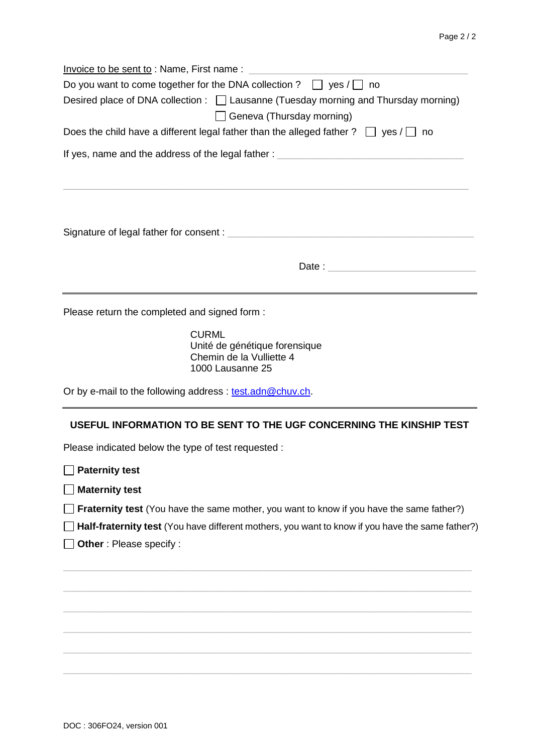|                                               | Invoice to be sent to: Name, First name: Name and the sense of the sense of the sense of the sense of the sense |  |
|-----------------------------------------------|-----------------------------------------------------------------------------------------------------------------|--|
|                                               | Do you want to come together for the DNA collection ? $\Box$ yes / $\Box$ no                                    |  |
|                                               | Desired place of DNA collection : $\Box$ Lausanne (Tuesday morning and Thursday morning)                        |  |
|                                               | $\Box$ Geneva (Thursday morning)                                                                                |  |
|                                               | Does the child have a different legal father than the alleged father ? $\Box$ yes / $\Box$ no                   |  |
|                                               | If yes, name and the address of the legal father : _____________________________                                |  |
|                                               |                                                                                                                 |  |
|                                               |                                                                                                                 |  |
|                                               |                                                                                                                 |  |
|                                               |                                                                                                                 |  |
|                                               |                                                                                                                 |  |
| Please return the completed and signed form : |                                                                                                                 |  |
|                                               | <b>CURML</b><br>Unité de génétique forensique<br>Chemin de la Vulliette 4                                       |  |

Or by e-mail to the following address : test.adn@chuv.ch.

1000 Lausanne 25

## **USEFUL INFORMATION TO BE SENT TO THE UGF CONCERNING THE KINSHIP TEST**

Please indicated below the type of test requested :

**Paternity test**

**Maternity test**

**Fraternity test** (You have the same mother, you want to know if you have the same father?)

**Half-fraternity test** (You have different mothers, you want to know if you have the same father?)

\_\_\_\_\_\_\_\_\_\_\_\_\_\_\_\_\_\_\_\_\_\_\_\_\_\_\_\_\_\_\_\_\_\_\_\_\_\_\_\_\_\_\_\_\_\_\_\_\_\_\_\_\_\_\_\_\_\_\_\_\_\_\_\_\_\_\_\_\_\_\_\_\_\_\_\_\_\_\_\_\_\_

\_\_\_\_\_\_\_\_\_\_\_\_\_\_\_\_\_\_\_\_\_\_\_\_\_\_\_\_\_\_\_\_\_\_\_\_\_\_\_\_\_\_\_\_\_\_\_\_\_\_\_\_\_\_\_\_\_\_\_\_\_\_\_\_\_\_\_\_\_\_\_\_\_\_\_\_\_\_\_\_\_\_

**Other** : Please specify :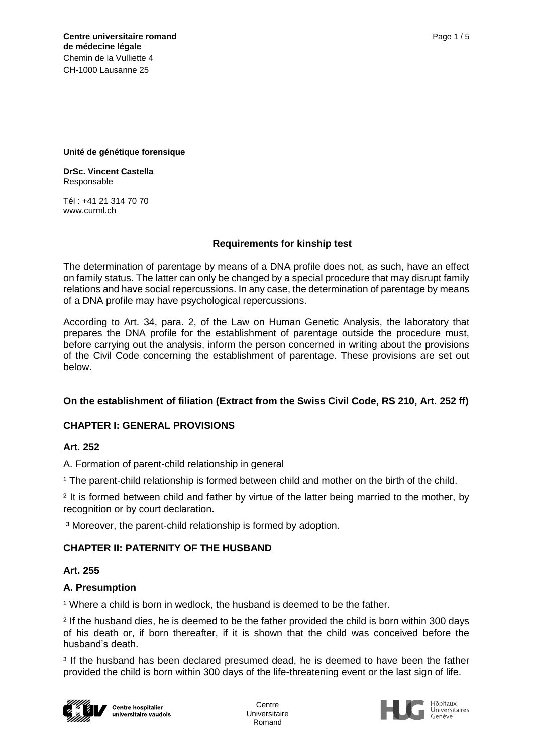### **Unité de génétique forensique**

**DrSc. Vincent Castella** Responsable

Tél : +41 21 314 70 70 www.curml.ch

### **Requirements for kinship test**

The determination of parentage by means of a DNA profile does not, as such, have an effect on family status. The latter can only be changed by a special procedure that may disrupt family relations and have social repercussions. In any case, the determination of parentage by means of a DNA profile may have psychological repercussions.

According to Art. 34, para. 2, of the Law on Human Genetic Analysis, the laboratory that prepares the DNA profile for the establishment of parentage outside the procedure must, before carrying out the analysis, inform the person concerned in writing about the provisions of the Civil Code concerning the establishment of parentage. These provisions are set out below.

## **On the establishment of filiation (Extract from the Swiss Civil Code, RS 210, Art. 252 ff)**

## **CHAPTER I: GENERAL PROVISIONS**

## **Art. 252**

A. Formation of parent-child relationship in general

<sup>1</sup> The parent-child relationship is formed between child and mother on the birth of the child.

<sup>2</sup> It is formed between child and father by virtue of the latter being married to the mother, by recognition or by court declaration.

³ Moreover, the parent-child relationship is formed by adoption.

### **CHAPTER II: PATERNITY OF THE HUSBAND**

### **Art. 255**

## **A. Presumption**

<sup>1</sup> Where a child is born in wedlock, the husband is deemed to be the father.

² If the husband dies, he is deemed to be the father provided the child is born within 300 days of his death or, if born thereafter, if it is shown that the child was conceived before the husband's death.

<sup>3</sup> If the husband has been declared presumed dead, he is deemed to have been the father provided the child is born within 300 days of the life-threatening event or the last sign of life.



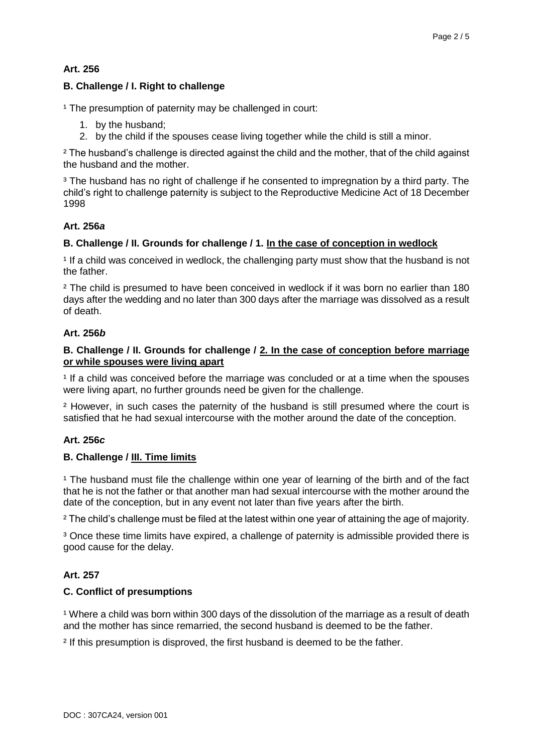## **Art. 256**

## **B. Challenge / I. Right to challenge**

<sup>1</sup> The presumption of paternity may be challenged in court:

- 1. by the husband;
- 2. by the child if the spouses cease living together while the child is still a minor.

² The husband's challenge is directed against the child and the mother, that of the child against the husband and the mother.

<sup>3</sup> The husband has no right of challenge if he consented to impregnation by a third party. The child's right to challenge paternity is subject to the Reproductive Medicine Act of 18 December 1998

### **Art. 256***a*

### **B. Challenge / II. Grounds for challenge / 1. In the case of conception in wedlock**

<sup>1</sup> If a child was conceived in wedlock, the challenging party must show that the husband is not the father.

<sup>2</sup> The child is presumed to have been conceived in wedlock if it was born no earlier than 180 days after the wedding and no later than 300 days after the marriage was dissolved as a result of death.

### **Art. 256***b*

### **B. Challenge / II. Grounds for challenge / 2. In the case of conception before marriage or while spouses were living apart**

<sup>1</sup> If a child was conceived before the marriage was concluded or at a time when the spouses were living apart, no further grounds need be given for the challenge.

² However, in such cases the paternity of the husband is still presumed where the court is satisfied that he had sexual intercourse with the mother around the date of the conception.

## **Art. 256***c*

### **B. Challenge / III. Time limits**

<sup>1</sup> The husband must file the challenge within one year of learning of the birth and of the fact that he is not the father or that another man had sexual intercourse with the mother around the date of the conception, but in any event not later than five years after the birth.

² The child's challenge must be filed at the latest within one year of attaining the age of majority.

<sup>3</sup> Once these time limits have expired, a challenge of paternity is admissible provided there is good cause for the delay.

## **Art. 257**

### **C. Conflict of presumptions**

<sup>1</sup> Where a child was born within 300 days of the dissolution of the marriage as a result of death and the mother has since remarried, the second husband is deemed to be the father.

² If this presumption is disproved, the first husband is deemed to be the father.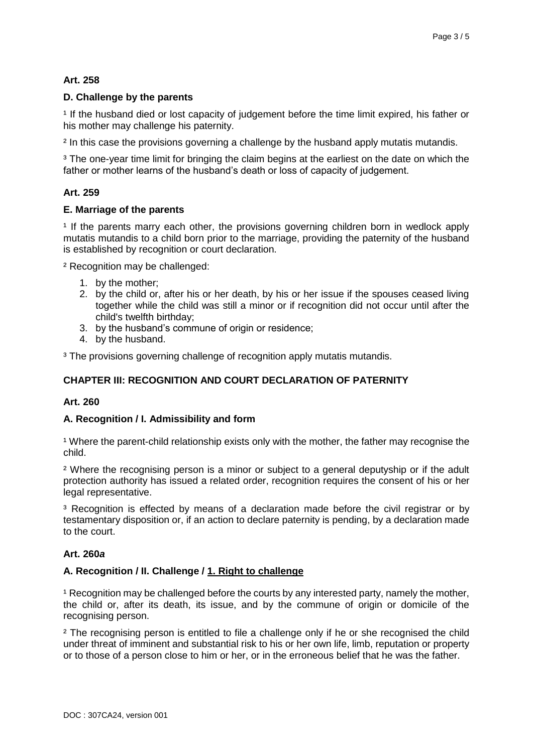# **Art. 258**

## **D. Challenge by the parents**

<sup>1</sup> If the husband died or lost capacity of judgement before the time limit expired, his father or his mother may challenge his paternity.

<sup>2</sup> In this case the provisions governing a challenge by the husband apply mutatis mutandis.

<sup>3</sup> The one-year time limit for bringing the claim begins at the earliest on the date on which the father or mother learns of the husband's death or loss of capacity of judgement.

### **Art. 259**

### **E. Marriage of the parents**

<sup>1</sup> If the parents marry each other, the provisions governing children born in wedlock apply mutatis mutandis to a child born prior to the marriage, providing the paternity of the husband is established by recognition or court declaration.

² Recognition may be challenged:

- 1. by the mother;
- 2. by the child or, after his or her death, by his or her issue if the spouses ceased living together while the child was still a minor or if recognition did not occur until after the child's twelfth birthday;
- 3. by the husband's commune of origin or residence;
- 4. by the husband.

<sup>3</sup> The provisions governing challenge of recognition apply mutatis mutandis.

## **CHAPTER III: RECOGNITION AND COURT DECLARATION OF PATERNITY**

### **Art. 260**

### **A. Recognition / I. Admissibility and form**

<sup>1</sup> Where the parent-child relationship exists only with the mother, the father may recognise the child.

² Where the recognising person is a minor or subject to a general deputyship or if the adult protection authority has issued a related order, recognition requires the consent of his or her legal representative.

<sup>3</sup> Recognition is effected by means of a declaration made before the civil registrar or by testamentary disposition or, if an action to declare paternity is pending, by a declaration made to the court.

### **Art. 260***a*

### **A. Recognition / II. Challenge / 1. Right to challenge**

<sup>1</sup> Recognition may be challenged before the courts by any interested party, namely the mother, the child or, after its death, its issue, and by the commune of origin or domicile of the recognising person.

<sup>2</sup> The recognising person is entitled to file a challenge only if he or she recognised the child under threat of imminent and substantial risk to his or her own life, limb, reputation or property or to those of a person close to him or her, or in the erroneous belief that he was the father.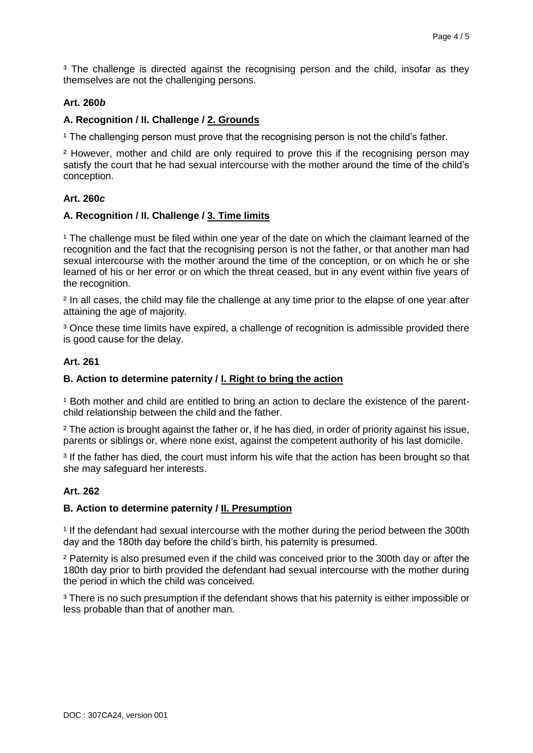<sup>3</sup> The challenge is directed against the recognising person and the child, insofar as they themselves are not the challenging persons.

## **Art. 260***b*

## **A. Recognition / II. Challenge / 2. Grounds**

<sup>1</sup> The challenging person must prove that the recognising person is not the child's father.

² However, mother and child are only required to prove this if the recognising person may satisfy the court that he had sexual intercourse with the mother around the time of the child's conception.

## **Art. 260***c*

## **A. Recognition / II. Challenge / 3. Time limits**

<sup>1</sup> The challenge must be filed within one year of the date on which the claimant learned of the recognition and the fact that the recognising person is not the father, or that another man had sexual intercourse with the mother around the time of the conception, or on which he or she learned of his or her error or on which the threat ceased, but in any event within five years of the recognition.

² In all cases, the child may file the challenge at any time prior to the elapse of one year after attaining the age of majority.

<sup>3</sup> Once these time limits have expired, a challenge of recognition is admissible provided there is good cause for the delay.

## **Art. 261**

## **B. Action to determine paternity / I. Right to bring the action**

<sup>1</sup> Both mother and child are entitled to bring an action to declare the existence of the parentchild relationship between the child and the father.

² The action is brought against the father or, if he has died, in order of priority against his issue, parents or siblings or, where none exist, against the competent authority of his last domicile.

<sup>3</sup> If the father has died, the court must inform his wife that the action has been brought so that she may safeguard her interests.

## **Art. 262**

## **B. Action to determine paternity / II. Presumption**

<sup>1</sup> If the defendant had sexual intercourse with the mother during the period between the 300th day and the 180th day before the child's birth, his paternity is presumed.

² Paternity is also presumed even if the child was conceived prior to the 300th day or after the 180th day prior to birth provided the defendant had sexual intercourse with the mother during the period in which the child was conceived.

<sup>3</sup> There is no such presumption if the defendant shows that his paternity is either impossible or less probable than that of another man.